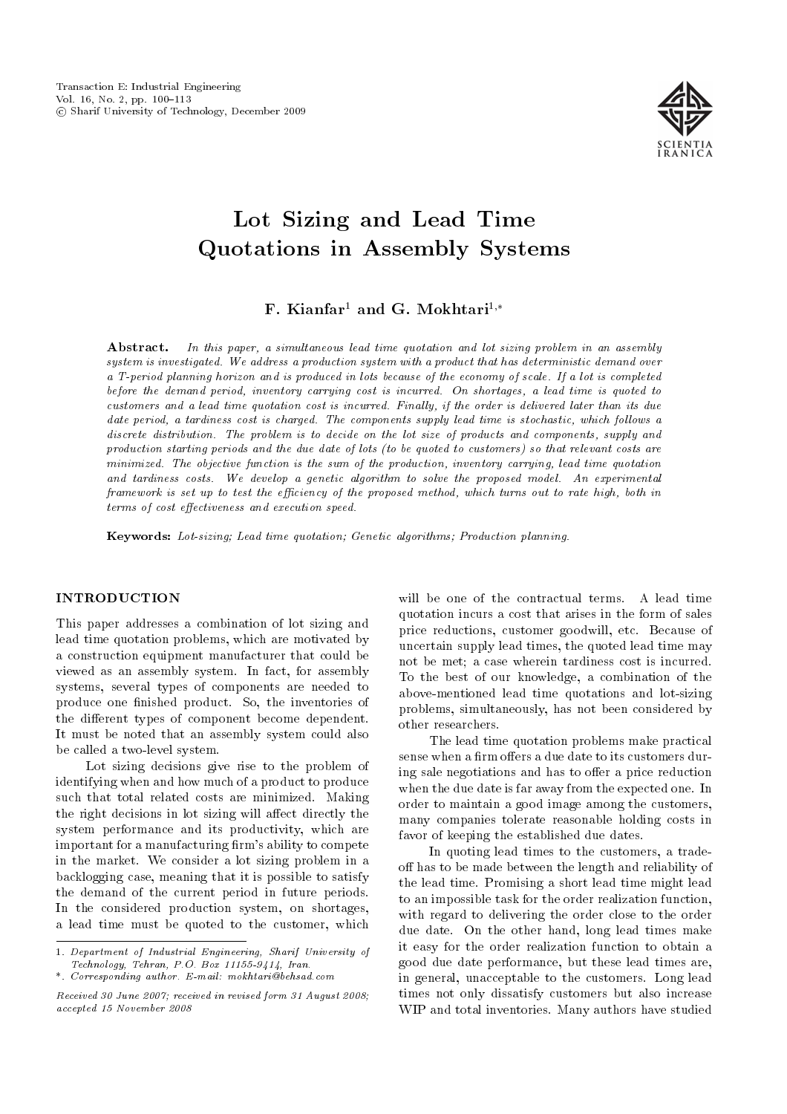

# Lot Sizing and Lead Time Quotations in Assembly Systems

F. Kianfar<sup>1</sup> and G. Mokhtari<sup>1,\*</sup>

Abstract. In this paper, a simultaneous lead time quotation and lot sizing problem in an assembly system is investigated. We address a production system with a product that has deterministic demand over a T-period planning horizon and is produced in lots because of the economy of scale. If a lot is completed before the demand period, inventory carrying cost is incurred. On shortages, a lead time is quoted to customers and a lead time quotation cost is incurred. Finally, if the order is delivered later than its due date period, a tardiness cost is charged. The components supply lead time is stochastic, which follows a discrete distribution. The problem is to decide on the lot size of products and components, supply and production starting periods and the due date of lots (to be quoted to customers) so that relevant costs are minimized. The objective function is the sum of the production, inventory carrying, lead time quotation and tardiness costs. We develop a genetic algorithm to solve the proposed model. An experimental framework is set up to test the efficiency of the proposed method, which turns out to rate high, both in terms of cost effectiveness and execution speed.

Keywords: Lot-sizing; Lead time quotation; Genetic algorithms; Production planning.

## INTRODUCTION

This paper addresses a combination of lot sizing and lead time quotation problems, which are motivated by a construction equipment manufacturer that could be viewed as an assembly system. In fact, for assembly systems, several types of components are needed to produce one finished product. So, the inventories of the different types of component become dependent. It must be noted that an assembly system could also be called a two-level system.

Lot sizing decisions give rise to the problem of identifying when and how much of a product to produce such that total related costs are minimized. Making the right decisions in lot sizing will affect directly the system performance and its productivity, which are important for a manufacturing firm's ability to compete in the market. We consider a lot sizing problem in a backlogging case, meaning that it is possible to satisfy the demand of the current period in future periods. In the considered production system, on shortages, a lead time must be quoted to the customer, which

will be one of the contractual terms. A lead time quotation incurs a cost that arises in the form of sales price reductions, customer goodwill, etc. Because of uncertain supply lead times, the quoted lead time may not be met; a case wherein tardiness cost is incurred. To the best of our knowledge, a combination of the above-mentioned lead time quotations and lot-sizing problems, simultaneously, has not been considered by other researchers.

The lead time quotation problems make practical sense when a firm offers a due date to its customers during sale negotiations and has to offer a price reduction when the due date is far away from the expected one. In order to maintain a good image among the customers, many companies tolerate reasonable holding costs in favor of keeping the established due dates.

In quoting lead times to the customers, a tradeoff has to be made between the length and reliability of the lead time. Promising a short lead time might lead to an impossible task for the order realization function, with regard to delivering the order close to the order due date. On the other hand, long lead times make it easy for the order realization function to obtain a good due date performance, but these lead times are, in general, unacceptable to the customers. Long lead times not only dissatisfy customers but also increase WIP and total inventories. Many authors have studied

<sup>1.</sup> Department of Industrial Engineering, Sharif University of Technology, Tehran, P.O. Box 11155-9414, Iran. \*. Corresponding author. E-mail: mokhtari@behsad.com

Received 30 June 2007; received in revised form 31 August 2008; accepted 15 November 2008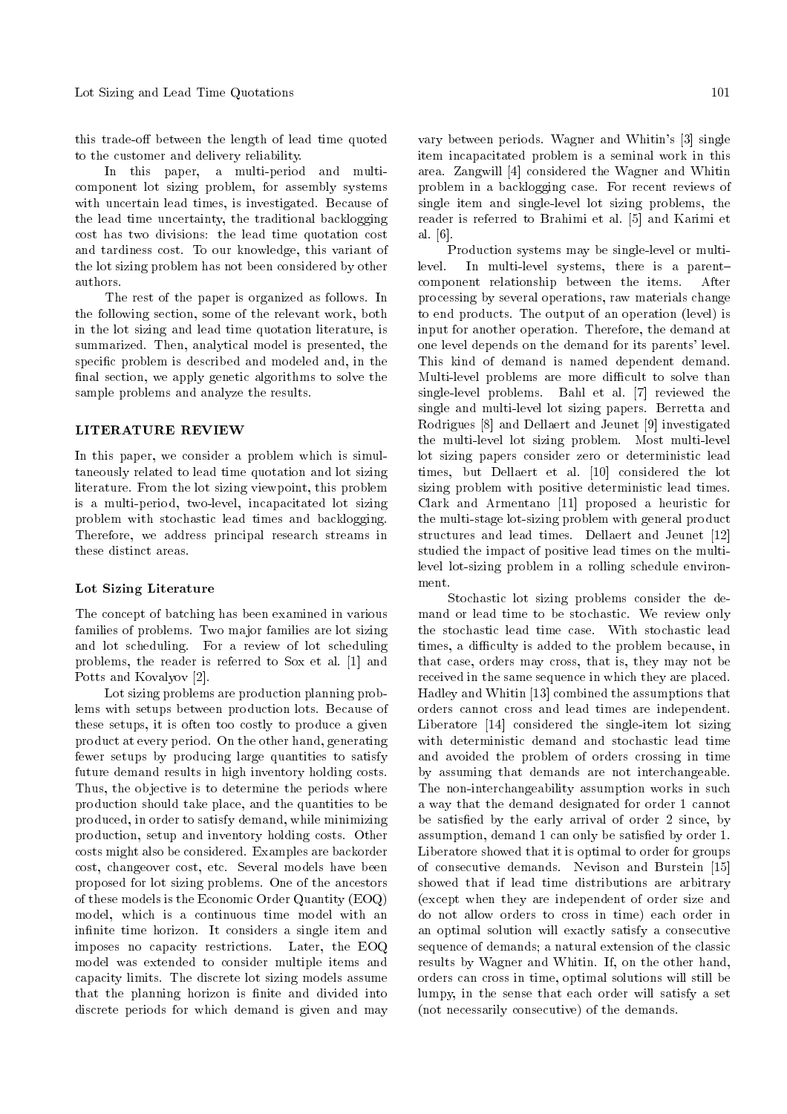this trade-off between the length of lead time quoted to the customer and delivery reliability.

In this paper, a multi-period and multicomponent lot sizing problem, for assembly systems with uncertain lead times, is investigated. Because of the lead time uncertainty, the traditional backlogging cost has two divisions: the lead time quotation cost and tardiness cost. To our knowledge, this variant of the lot sizing problem has not been considered by other authors.

The rest of the paper is organized as follows. In the following section, some of the relevant work, both in the lot sizing and lead time quotation literature, is summarized. Then, analytical model is presented, the specic problem is described and modeled and, in the final section, we apply genetic algorithms to solve the sample problems and analyze the results.

#### LITERATURE REVIEW

In this paper, we consider a problem which is simultaneously related to lead time quotation and lot sizing literature. From the lot sizing viewpoint, this problem is a multi-period, two-level, incapacitated lot sizing problem with stochastic lead times and backlogging. Therefore, we address principal research streams in these distinct areas.

## Lot Sizing Literature

The concept of batching has been examined in various families of problems. Two major families are lot sizing and lot scheduling. For a review of lot scheduling problems, the reader is referred to Sox et al. [1] and Potts and Kovalyov [2].

Lot sizing problems are production planning problems with setups between production lots. Because of these setups, it is often too costly to produce a given product at every period. On the other hand, generating fewer setups by producing large quantities to satisfy future demand results in high inventory holding costs. Thus, the objective is to determine the periods where production should take place, and the quantities to be produced, in order to satisfy demand, while minimizing production, setup and inventory holding costs. Other costs might also be considered. Examples are backorder cost, changeover cost, etc. Several models have been proposed for lot sizing problems. One of the ancestors of these models is the Economic Order Quantity (EOQ) model, which is a continuous time model with an infinite time horizon. It considers a single item and imposes no capacity restrictions. Later, the EOQ model was extended to consider multiple items and capacity limits. The discrete lot sizing models assume that the planning horizon is finite and divided into discrete periods for which demand is given and may vary between periods. Wagner and Whitin's [3] single item incapacitated problem is a seminal work in this area. Zangwill [4] considered the Wagner and Whitin problem in a backlogging case. For recent reviews of single item and single-level lot sizing problems, the reader is referred to Brahimi et al. [5] and Karimi et al. [6].

Production systems may be single-level or multilevel. In multi-level systems, there is a parent{ component relationship between the items. After processing by several operations, raw materials change to end products. The output of an operation (level) is input for another operation. Therefore, the demand at one level depends on the demand for its parents' level. This kind of demand is named dependent demand. Multi-level problems are more difficult to solve than single-level problems. Bahl et al. [7] reviewed the single and multi-level lot sizing papers. Berretta and Rodrigues [8] and Dellaert and Jeunet [9] investigated the multi-level lot sizing problem. Most multi-level lot sizing papers consider zero or deterministic lead times, but Dellaert et al. [10] considered the lot sizing problem with positive deterministic lead times. Clark and Armentano [11] proposed a heuristic for the multi-stage lot-sizing problem with general product structures and lead times. Dellaert and Jeunet [12] studied the impact of positive lead times on the multilevel lot-sizing problem in a rolling schedule environment.

Stochastic lot sizing problems consider the demand or lead time to be stochastic. We review only the stochastic lead time case. With stochastic lead times, a difficulty is added to the problem because, in that case, orders may cross, that is, they may not be received in the same sequence in which they are placed. Hadley and Whitin [13] combined the assumptions that orders cannot cross and lead times are independent. Liberatore [14] considered the single-item lot sizing with deterministic demand and stochastic lead time and avoided the problem of orders crossing in time by assuming that demands are not interchangeable. The non-interchangeability assumption works in such a way that the demand designated for order 1 cannot be satisfied by the early arrival of order 2 since, by assumption, demand 1 can only be satisfied by order 1. Liberatore showed that it is optimal to order for groups of consecutive demands. Nevison and Burstein [15] showed that if lead time distributions are arbitrary (except when they are independent of order size and do not allow orders to cross in time) each order in an optimal solution will exactly satisfy a consecutive sequence of demands; a natural extension of the classic results by Wagner and Whitin. If, on the other hand, orders can cross in time, optimal solutions will still be lumpy, in the sense that each order will satisfy a set (not necessarily consecutive) of the demands.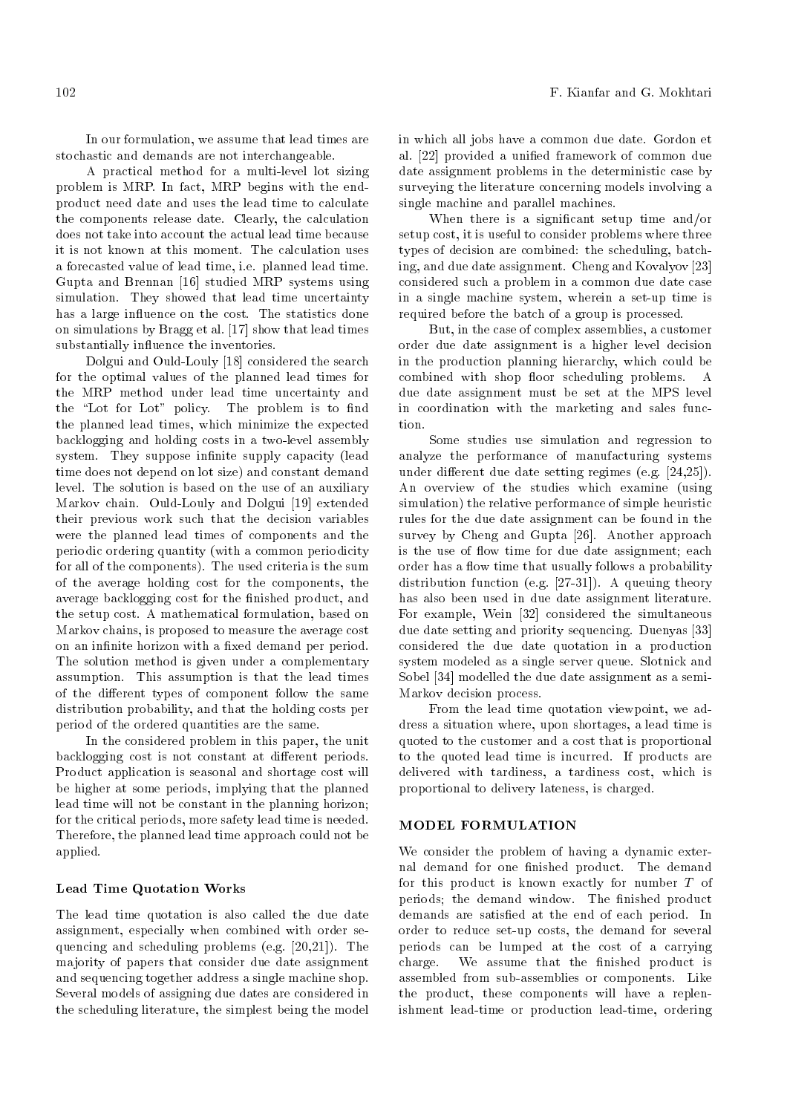A practical method for a multi-level lot sizing problem is MRP. In fact, MRP begins with the endproduct need date and uses the lead time to calculate the components release date. Clearly, the calculation does not take into account the actual lead time because it is not known at this moment. The calculation uses a forecasted value of lead time, i.e. planned lead time. Gupta and Brennan [16] studied MRP systems using simulation. They showed that lead time uncertainty has a large influence on the cost. The statistics done on simulations by Bragg et al. [17] show that lead times substantially influence the inventories.

Dolgui and Ould-Louly [18] considered the search for the optimal values of the planned lead times for the MRP method under lead time uncertainty and the "Lot for Lot" policy. The problem is to find the planned lead times, which minimize the expected backlogging and holding costs in a two-level assembly system. They suppose infinite supply capacity (lead time does not depend on lot size) and constant demand level. The solution is based on the use of an auxiliary Markov chain. Ould-Louly and Dolgui [19] extended their previous work such that the decision variables were the planned lead times of components and the periodic ordering quantity (with a common periodicity for all of the components). The used criteria is the sum of the average holding cost for the components, the average backlogging cost for the finished product, and the setup cost. A mathematical formulation, based on Markov chains, is proposed to measure the average cost on an infinite horizon with a fixed demand per period. The solution method is given under a complementary assumption. This assumption is that the lead times of the different types of component follow the same distribution probability, and that the holding costs per period of the ordered quantities are the same.

In the considered problem in this paper, the unit backlogging cost is not constant at different periods. Product application is seasonal and shortage cost will be higher at some periods, implying that the planned lead time will not be constant in the planning horizon; for the critical periods, more safety lead time is needed. Therefore, the planned lead time approach could not be applied.

## Lead Time Quotation Works

The lead time quotation is also called the due date assignment, especially when combined with order sequencing and scheduling problems (e.g. [20,21]). The majority of papers that consider due date assignment and sequencing together address a single machine shop. Several models of assigning due dates are considered in the scheduling literature, the simplest being the model in which all jobs have a common due date. Gordon et al. [22] provided a unied framework of common due date assignment problems in the deterministic case by surveying the literature concerning models involving a single machine and parallel machines.

When there is a signicant setup time and/or setup cost, it is useful to consider problems where three types of decision are combined: the scheduling, batching, and due date assignment. Cheng and Kovalyov [23] considered such a problem in a common due date case in a single machine system, wherein a set-up time is required before the batch of a group is processed.

But, in the case of complex assemblies, a customer order due date assignment is a higher level decision in the production planning hierarchy, which could be combined with shop floor scheduling problems. A due date assignment must be set at the MPS level in coordination with the marketing and sales function.

Some studies use simulation and regression to analyze the performance of manufacturing systems under different due date setting regimes (e.g. [24,25]). An overview of the studies which examine (using simulation) the relative performance of simple heuristic rules for the due date assignment can be found in the survey by Cheng and Gupta [26]. Another approach is the use of flow time for due date assignment; each order has a flow time that usually follows a probability distribution function (e.g. [27-31]). A queuing theory has also been used in due date assignment literature. For example, Wein [32] considered the simultaneous due date setting and priority sequencing. Duenyas [33] considered the due date quotation in a production system modeled as a single server queue. Slotnick and Sobel [34] modelled the due date assignment as a semi-Markov decision process.

From the lead time quotation viewpoint, we address a situation where, upon shortages, a lead time is quoted to the customer and a cost that is proportional to the quoted lead time is incurred. If products are delivered with tardiness, a tardiness cost, which is proportional to delivery lateness, is charged.

## MODEL FORMULATION

We consider the problem of having a dynamic external demand for one finished product. The demand for this product is known exactly for number T of periods; the demand window. The finished product demands are satisfied at the end of each period. In order to reduce set-up costs, the demand for several periods can be lumped at the cost of a carrying charge. We assume that the finished product is assembled from sub-assemblies or components. Like the product, these components will have a replenishment lead-time or production lead-time, ordering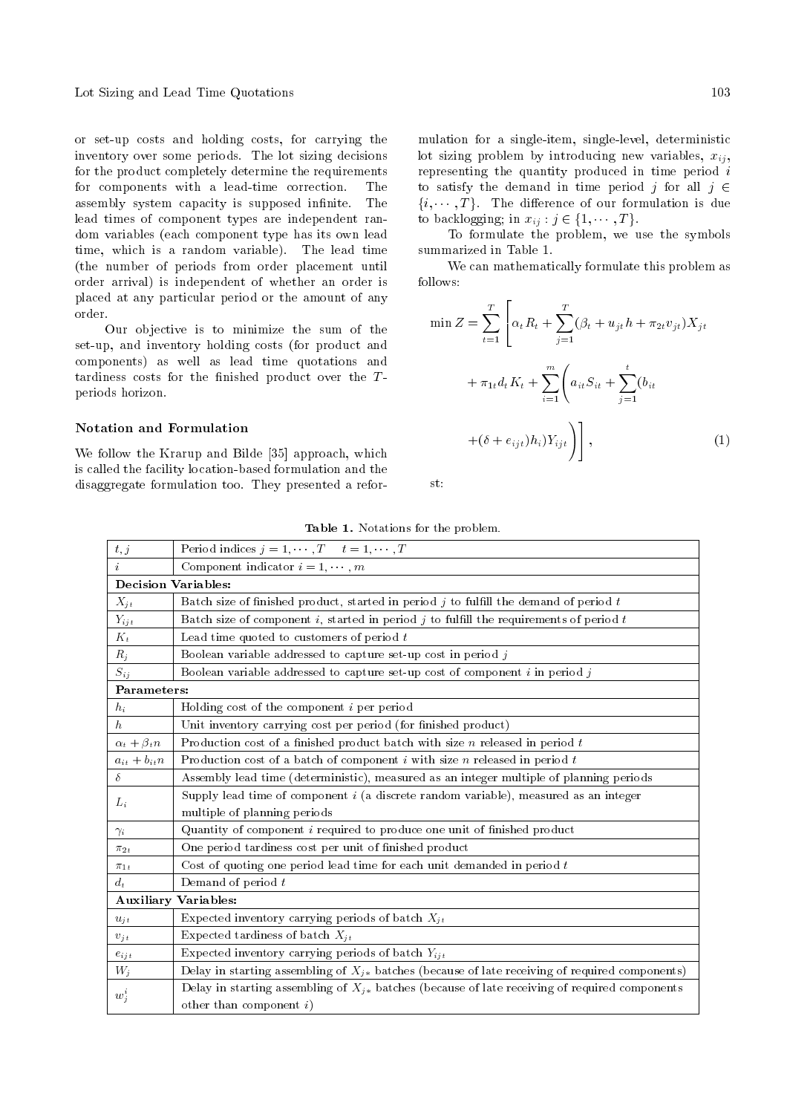Lot Sizing and Lead Time Quotations 103

or set-up costs and holding costs, for carrying the inventory over some periods. The lot sizing decisions for the product completely determine the requirements for components with a lead-time correction. The assembly system capacity is supposed infinite. The lead times of component types are independent random variables (each component type has its own lead time, which is a random variable). The lead time (the number of periods from order placement until order arrival) is independent of whether an order is placed at any particular period or the amount of any order.

Our objective is to minimize the sum of the set-up, and inventory holding costs (for product and components) as well as lead time quotations and tardiness costs for the finished product over the  $T$ periods horizon.

# Notation and Formulation

We follow the Krarup and Bilde [35] approach, which is called the facility location-based formulation and the disaggregate formulation too. They presented a reformulation for a single-item, single-level, deterministic lot sizing problem by introducing new variables,  $x_{ij}$ , representing the quantity produced in time period  $i$ to satisfy the demand in time period j for all  $j \in$  $\{i, \dots, T\}$ . The difference of our formulation is due to backlogging; in  $x_{ij} : j \in \{1, \dots, T\}.$ 

To formulate the problem, we use the symbols summarized in Table 1.

We can mathematically formulate this problem as follows:

$$
\min Z = \sum_{t=1}^{T} \left[ \alpha_t R_t + \sum_{j=1}^{T} (\beta_t + u_{jt} h + \pi_{2t} v_{jt}) X_{jt} + \pi_{1t} d_t K_t + \sum_{i=1}^{m} \left( a_{it} S_{it} + \sum_{j=1}^{t} (b_{it} + (\delta + e_{ijt}) h_i) Y_{ijt} \right) \right],
$$
\n(1)

st:

Table 1. Notations for the problem.

| t, j                       | Period indices $j = 1, \dots, T$ $t = 1, \dots, T$                                                  |  |  |  |  |
|----------------------------|-----------------------------------------------------------------------------------------------------|--|--|--|--|
| $\dot{i}$                  | Component indicator $i = 1, \dots, m$                                                               |  |  |  |  |
| <b>Decision Variables:</b> |                                                                                                     |  |  |  |  |
| $X_{jt}$                   | Batch size of finished product, started in period $j$ to fulfill the demand of period $t$           |  |  |  |  |
| $Y_{ijt}$                  | Batch size of component i, started in period j to fulfill the requirements of period t              |  |  |  |  |
| $K_t$                      | Lead time quoted to customers of period $t$                                                         |  |  |  |  |
| $R_j$                      | Boolean variable addressed to capture set up cost in period $j$                                     |  |  |  |  |
| $S_{ij}$                   | Boolean variable addressed to capture set-up cost of component $i$ in period $j$                    |  |  |  |  |
| Parameters:                |                                                                                                     |  |  |  |  |
| $h_i$                      | Holding cost of the component $i$ per period                                                        |  |  |  |  |
| h                          | Unit inventory carrying cost per period (for finished product)                                      |  |  |  |  |
| $\alpha_t + \beta_t n$     | Production cost of a finished product batch with size $n$ released in period $t$                    |  |  |  |  |
| $a_{it} + b_{it}n$         | Production cost of a batch of component $i$ with size $n$ released in period $t$                    |  |  |  |  |
| δ                          | Assembly lead time (deterministic), measured as an integer multiple of planning periods             |  |  |  |  |
| $L_i$                      | Supply lead time of component $i$ (a discrete random variable), measured as an integer              |  |  |  |  |
|                            | multiple of planning periods                                                                        |  |  |  |  |
| $\gamma_i$                 | Quantity of component $i$ required to produce one unit of finished product                          |  |  |  |  |
| $\pi_{2t}$                 | One period tardiness cost per unit of finished product                                              |  |  |  |  |
| $\pi_{1t}$                 | Cost of quoting one period lead time for each unit demanded in period $t$                           |  |  |  |  |
| $d_t$                      | Demand of period $t$                                                                                |  |  |  |  |
|                            | <b>Auxiliary Variables:</b>                                                                         |  |  |  |  |
| $u_{it}$                   | Expected inventory carrying periods of batch $X_{it}$                                               |  |  |  |  |
| $v_{it}$                   | Expected tardiness of batch $X_{it}$                                                                |  |  |  |  |
| $e_{ijt}$                  | Expected inventory carrying periods of batch $Y_{ijt}$                                              |  |  |  |  |
| $W_j$                      | Delay in starting assembling of $X_{j*}$ batches (because of late receiving of required components) |  |  |  |  |
| $w_i^i$                    | Delay in starting assembling of $X_{j*}$ batches (because of late receiving of required components  |  |  |  |  |
|                            | other than component $i)$                                                                           |  |  |  |  |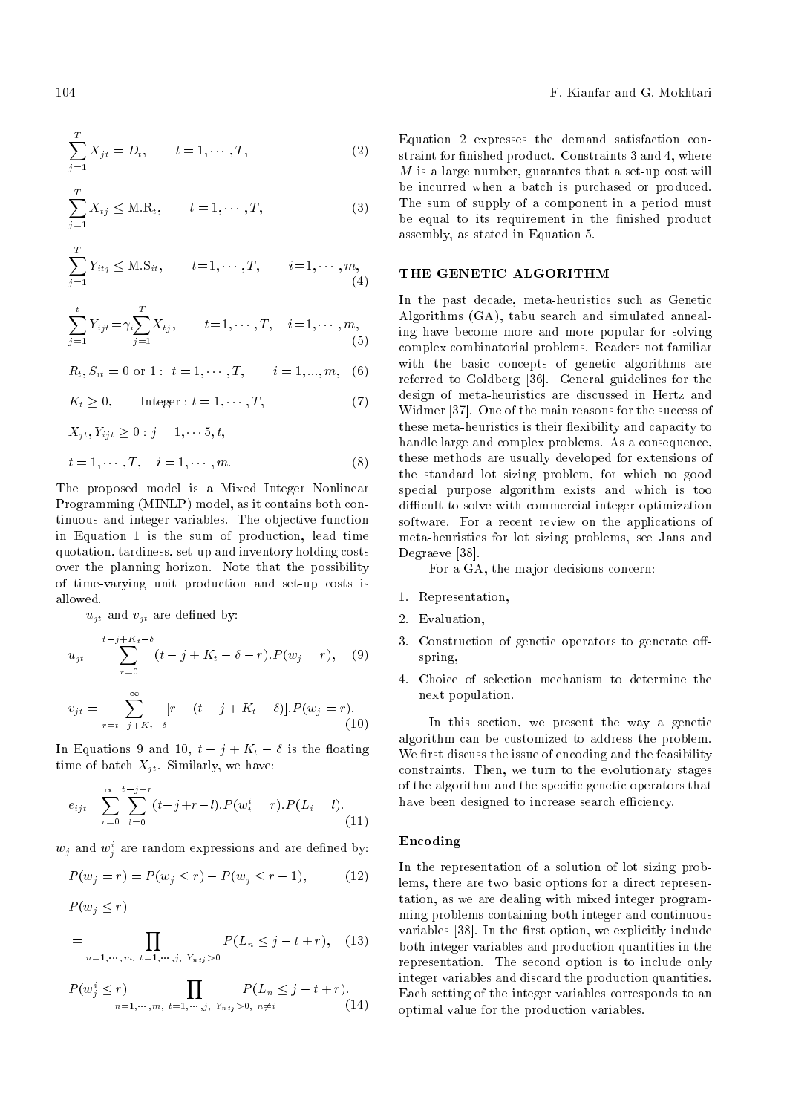$$
\sum_{j=1}^{T} X_{jt} = D_t, \qquad t = 1, \cdots, T,
$$
\n(2)

$$
\sum_{j=1}^{T} X_{tj} \leq \text{M.R}_t, \qquad t = 1, \cdots, T,
$$
\n(3)

$$
\sum_{j=1}^{T} Y_{itj} \leq \text{M.S}_{it}, \qquad t = 1, \cdots, T, \qquad i = 1, \cdots, m,
$$
\n(4)

$$
\sum_{j=1}^{t} Y_{ijt} = \gamma_i \sum_{j=1}^{T} X_{tj}, \qquad t = 1, \cdots, T, \quad i = 1, \cdots, m,
$$
\n(5)

$$
R_t, S_{it} = 0 \text{ or } 1: t = 1, \cdots, T, \qquad i = 1, ..., m, (6)
$$

$$
K_t \ge 0, \qquad \text{Integer} : t = 1, \cdots, T,
$$
 (7)

$$
X_{jt}, Y_{ijt} \ge 0 : j = 1, \dots, 5, t,
$$
  

$$
t = 1, \dots, T, \quad i = 1, \dots, m.
$$
 (8)

The proposed model is a Mixed Integer Nonlinear Programming (MINLP) model, as it contains both continuous and integer variables. The objective function in Equation 1 is the sum of production, lead time quotation, tardiness, set-up and inventory holding costs over the planning horizon. Note that the possibility of time-varying unit production and set-up costs is allowed.

 $u_{it}$  and  $v_{it}$  are defined by:

$$
u_{jt} = \sum_{r=0}^{t-j+K_t-\delta} (t-j+K_t-\delta-r).P(w_j=r), \quad (9)
$$

$$
v_{jt} = \sum_{r=t-j+K_t-\delta}^{\infty} [r - (t - j + K_t - \delta)].P(w_j = r).
$$
\n(10)

In Equations 9 and 10,  $t - j + K_t - \delta$  is the floating time of batch  $X_{jt}$ . Similarly, we have:

$$
e_{ijt} = \sum_{r=0}^{\infty} \sum_{l=0}^{t-j+r} (t-j+r-l) \cdot P(w_t^i = r) \cdot P(L_i = l).
$$
\n(11)

 $w_j$  and  $w_j^i$  are random expressions and are defined by:

$$
P(w_j = r) = P(w_j \le r) - P(w_j \le r - 1), \tag{12}
$$

$$
P(w_j \leq r)
$$

$$
= \prod_{n=1,\dots,m, \ t=1,\dots,j, \ Y_{n+j}>0} P(L_n \le j-t+r), \quad (13)
$$

$$
P(w_j^i \le r) = \prod_{n=1,\dots,m, \ t=1,\dots,j, \ Y_{n+j} > 0, \ n \ne i} P(L_n \le j - t + r). \tag{14}
$$

Equation 2 expresses the demand satisfaction constraint for finished product. Constraints 3 and 4, where  $M$  is a large number, guarantes that a set-up cost will be incurred when a batch is purchased or produced. The sum of supply of a component in a period must be equal to its requirement in the finished product assembly, as stated in Equation 5.

#### THE GENETIC ALGORITHM

In the past decade, meta-heuristics such as Genetic Algorithms (GA), tabu search and simulated annealing have become more and more popular for solving complex combinatorial problems. Readers not familiar with the basic concepts of genetic algorithms are referred to Goldberg [36]. General guidelines for the design of meta-heuristics are discussed in Hertz and Widmer [37]. One of the main reasons for the success of these meta-heuristics is their flexibility and capacity to handle large and complex problems. As a consequence, these methods are usually developed for extensions of the standard lot sizing problem, for which no good special purpose algorithm exists and which is too difficult to solve with commercial integer optimization software. For a recent review on the applications of meta-heuristics for lot sizing problems, see Jans and Degraeve [38].

For a GA, the major decisions concern:

- 1. Representation,
- 2. Evaluation,
- 3. Construction of genetic operators to generate offspring,
- 4. Choice of selection mechanism to determine the next population.

In this section, we present the way a genetic algorithm can be customized to address the problem. We first discuss the issue of encoding and the feasibility constraints. Then, we turn to the evolutionary stages of the algorithm and the specic genetic operators that have been designed to increase search efficiency.

#### Encoding

In the representation of a solution of lot sizing problems, there are two basic options for a direct representation, as we are dealing with mixed integer programming problems containing both integer and continuous variables [38]. In the first option, we explicitly include both integer variables and production quantities in the representation. The second option is to include only integer variables and discard the production quantities. Each setting of the integer variables corresponds to an optimal value for the production variables.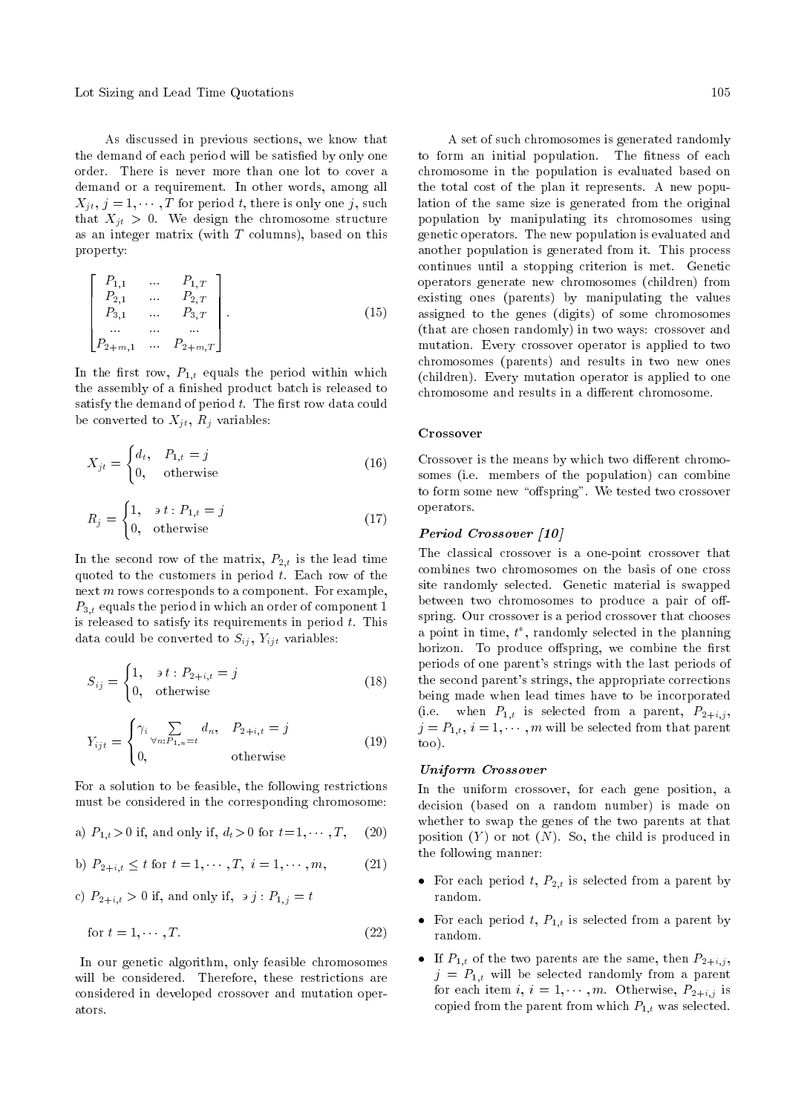Lot Sizing and Lead Time Quotations 105

2

As discussed in previous sections, we know that the demand of each period will be satisfied by only one order. There is never more than one lot to cover a demand or a requirement. In other words, among all  $X_{jt}, j = 1, \cdots, T$  for period t, there is only one j, such that  $X_{jt} > 0$ . We design the chromosome structure as an integer matrix (with  $T$  columns), based on this property:

$$
\begin{bmatrix}\nP_{1,1} & \dots & P_{1,T} \\
P_{2,1} & \dots & P_{2,T} \\
P_{3,1} & \dots & P_{3,T} \\
\dots & \dots & \dots \\
P_{2+m,1} & \dots & P_{2+m,T}\n\end{bmatrix}.
$$
\n(15)

In the first row,  $P_{1,t}$  equals the period within which the assembly of a finished product batch is released to satisfy the demand of period  $t$ . The first row data could be converted to  $X_{jt}$ ,  $R_j$  variables:

$$
X_{jt} = \begin{cases} d_t, & P_{1,t} = j \\ 0, & \text{otherwise} \end{cases}
$$
 (16)

$$
R_j = \begin{cases} 1, & \text{if } i \cdot P_{1,t} = j \\ 0, & \text{otherwise} \end{cases} \tag{17}
$$

In the second row of the matrix,  $P_{2,t}$  is the lead time quoted to the customers in period  $t$ . Each row of the next  $m$  rows corresponds to a component. For example,  $P_{3,t}$  equals the period in which an order of component 1 is released to satisfy its requirements in period t. This data could be converted to  $S_{ij}$ ,  $Y_{ijt}$  variables:

$$
S_{ij} = \begin{cases} 1, & \text{if } i \cdot P_{2+i,t} = j \\ 0, & \text{otherwise} \end{cases} \tag{18}
$$

$$
Y_{ijt} = \begin{cases} \gamma_i \sum_{\forall n: P_{1,n} = t} d_n, & P_{2+i,t} = j \\ 0, & \text{otherwise} \end{cases}
$$
(19)

For a solution to be feasible, the following restrictions must be considered in the corresponding chromosome:

a) 
$$
P_{1,t} > 0
$$
 if, and only if,  $d_t > 0$  for  $t = 1, \dots, T$ , (20)

b) 
$$
P_{2+i,t} \leq t
$$
 for  $t = 1, \dots, T, i = 1, \dots, m,$  (21)

c)  $P_{2+i,t} > 0$  if, and only if,  $\partial j : P_{1,j} = t$ 

$$
for t = 1, \cdots, T.
$$
\n
$$
(22)
$$

In our genetic algorithm, only feasible chromosomes will be considered. Therefore, these restrictions are considered in developed crossover and mutation operators.

A set of such chromosomes is generated randomly to form an initial population. The fitness of each chromosome in the population is evaluated based on the total cost of the plan it represents. A new population of the same size is generated from the original population by manipulating its chromosomes using genetic operators. The new population is evaluated and another population is generated from it. This process continues until a stopping criterion is met. Genetic operators generate new chromosomes (children) from existing ones (parents) by manipulating the values assigned to the genes (digits) of some chromosomes (that are chosen randomly) in two ways: crossover and mutation. Every crossover operator is applied to two chromosomes (parents) and results in two new ones (children). Every mutation operator is applied to one chromosome and results in a different chromosome.

#### Crossover

Crossover is the means by which two different chromosomes (i.e. members of the population) can combine to form some new "offspring". We tested two crossover operators.

## Period Crossover [10]

The classical crossover is a one-point crossover that combines two chromosomes on the basis of one cross site randomly selected. Genetic material is swapped between two chromosomes to produce a pair of offspring. Our crossover is a period crossover that chooses a point in time,  $t^*$ , randomly selected in the planning horizon. To produce offspring, we combine the first periods of one parent's strings with the last periods of the second parent's strings, the appropriate corrections being made when lead times have to be incorporated (i.e. when  $P_{1,t}$  is selected from a parent,  $P_{2+i,j}$ ,  $j = P_{1,t}, i = 1, \cdots, m$  will be selected from that parent too).

#### Uniform Crossover

In the uniform crossover, for each gene position, a decision (based on a random number) is made on whether to swap the genes of the two parents at that position  $(Y)$  or not  $(N)$ . So, the child is produced in the following manner:

- For each period  $t, P_{2,t}$  is selected from a parent by random.
- For each period t,  $P_{1,t}$  is selected from a parent by random.
- If  $P_{1,t}$  of the two parents are the same, then  $P_{2+i,j}$ ,  $j = P_{1,t}$  will be selected randomly from a parent for each item  $i, i = 1, \dots, m$ . Otherwise,  $P_{2+i,j}$  is copied from the parent from which  $P_{1,t}$  was selected.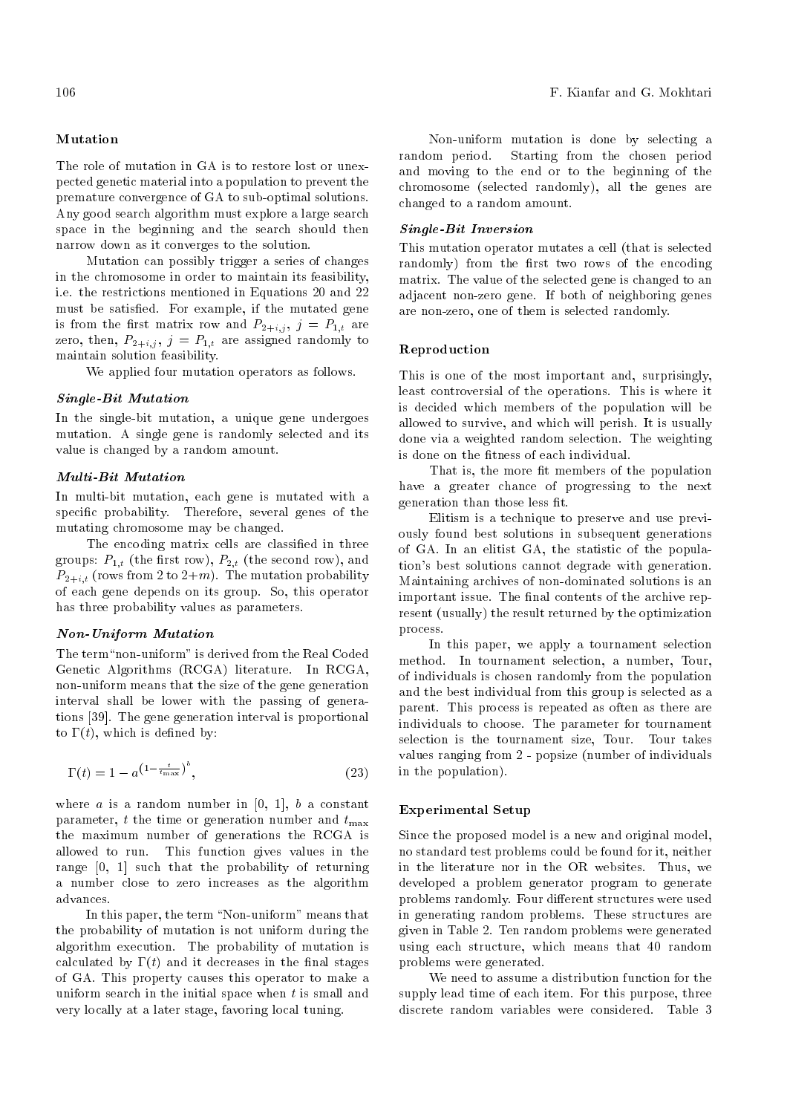## Mutation

The role of mutation in GA is to restore lost or unexpected genetic material into a population to prevent the premature convergence of GA to sub-optimal solutions. Any good search algorithm must explore a large search space in the beginning and the search should then narrow down as it converges to the solution.

Mutation can possibly trigger a series of changes in the chromosome in order to maintain its feasibility, i.e. the restrictions mentioned in Equations 20 and 22 must be satisfied. For example, if the mutated gene is from the first matrix row and  $P_{2+i,j}$ ,  $j = P_{1,t}$  are zero, then,  $P_{2+i,j}$ ,  $j = P_{1,t}$  are assigned randomly to maintain solution feasibility.

We applied four mutation operators as follows.

## Single-Bit Mutation

In the single-bit mutation, a unique gene undergoes mutation. A single gene is randomly selected and its value is changed by a random amount.

## Multi-Bit Mutation

In multi-bit mutation, each gene is mutated with a specic probability. Therefore, several genes of the mutating chromosome may be changed.

The encoding matrix cells are classified in three groups:  $P_{1,t}$  (the first row),  $P_{2,t}$  (the second row), and  $P_{2+i,t}$  (rows from 2 to  $2+m$ ). The mutation probability of each gene depends on its group. So, this operator has three probability values as parameters.

#### Non-Uniform Mutation

The term "non-uniform" is derived from the Real Coded Genetic Algorithms (RCGA) literature. In RCGA, non-uniform means that the size of the gene generation interval shall be lower with the passing of generations [39]. The gene generation interval is proportional to  $\Gamma(t)$ , which is defined by:

$$
\Gamma(t) = 1 - a^{\left(1 - \frac{t}{t_{\text{max}}}\right)^b},\tag{23}
$$

where  $a$  is a random number in [0, 1],  $b$  a constant parameter, t the time or generation number and  $t_{\text{max}}$ the maximum number of generations the RCGA is allowed to run. This function gives values in the range [0, 1] such that the probability of returning a number close to zero increases as the algorithm advances.

In this paper, the term "Non-uniform" means that the probability of mutation is not uniform during the algorithm execution. The probability of mutation is calculated by  $\Gamma(t)$  and it decreases in the final stages of GA. This property causes this operator to make a uniform search in the initial space when  $t$  is small and very locally at a later stage, favoring local tuning.

Non-uniform mutation is done by selecting a random period. Starting from the chosen period and moving to the end or to the beginning of the chromosome (selected randomly), all the genes are changed to a random amount.

# Single-Bit Inversion

This mutation operator mutates a cell (that is selected randomly) from the first two rows of the encoding matrix. The value of the selected gene is changed to an adjacent non-zero gene. If both of neighboring genes are non-zero, one of them is selected randomly.

#### Reproduction

This is one of the most important and, surprisingly, least controversial of the operations. This is where it is decided which members of the population will be allowed to survive, and which will perish. It is usually done via a weighted random selection. The weighting is done on the fitness of each individual.

That is, the more fit members of the population have a greater chance of progressing to the next generation than those less fit.

Elitism is a technique to preserve and use previously found best solutions in subsequent generations of GA. In an elitist GA, the statistic of the population's best solutions cannot degrade with generation. Maintaining archives of non-dominated solutions is an important issue. The final contents of the archive represent (usually) the result returned by the optimization process.

In this paper, we apply a tournament selection method. In tournament selection, a number, Tour, of individuals is chosen randomly from the population and the best individual from this group is selected as a parent. This process is repeated as often as there are individuals to choose. The parameter for tournament selection is the tournament size, Tour. Tour takes values ranging from 2 - popsize (number of individuals in the population).

## Experimental Setup

Since the proposed model is a new and original model, no standard test problems could be found for it, neither in the literature nor in the OR websites. Thus, we developed a problem generator program to generate problems randomly. Four different structures were used in generating random problems. These structures are given in Table 2. Ten random problems were generated using each structure, which means that 40 random problems were generated.

We need to assume a distribution function for the supply lead time of each item. For this purpose, three discrete random variables were considered. Table 3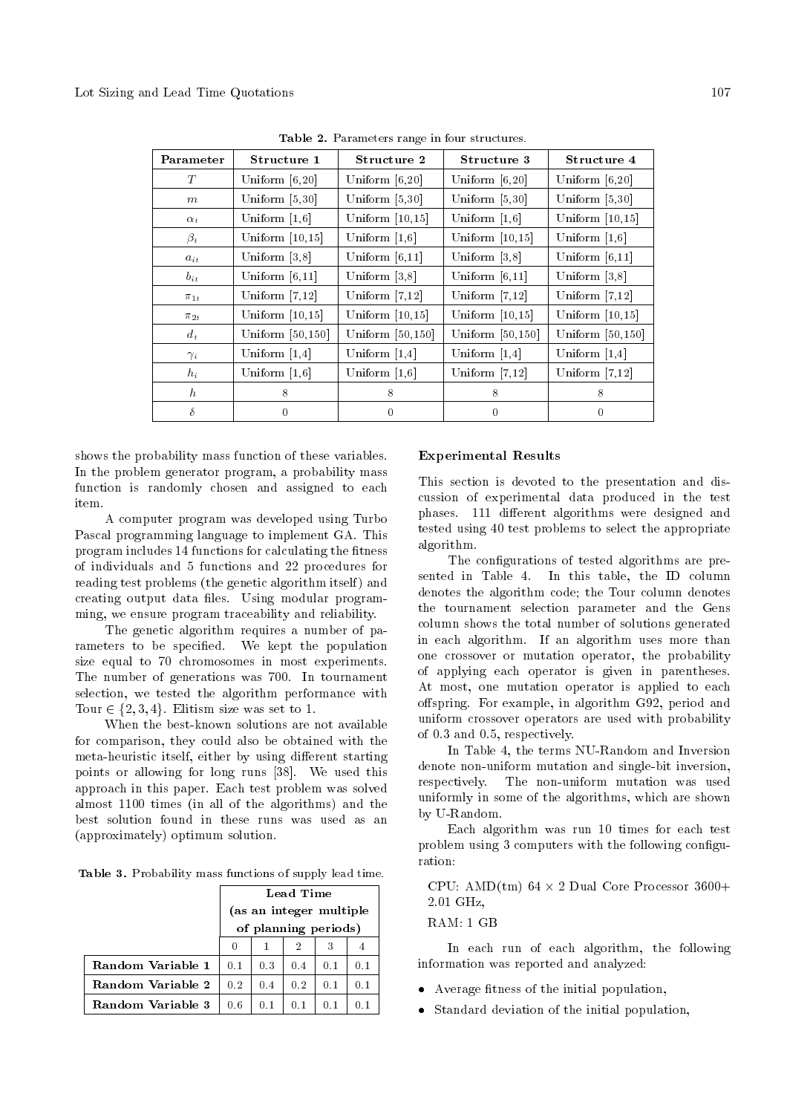| Parameter  | Structure 1         | Structure 2         | Structure 3         | Structure 4         |
|------------|---------------------|---------------------|---------------------|---------------------|
| T          | Uniform $[6, 20]$   | Uniform $[6,20]$    | Uniform $[6, 20]$   | Uniform $[6,20]$    |
| m          | Uniform $[5,30]$    | Uniform $[5,30]$    | Uniform $[5,30]$    | Uniform $[5,30]$    |
| $\alpha_t$ | Uniform $[1,6]$     | Uniform $[10, 15]$  | Uniform $[1,6]$     | Uniform $[10,15]$   |
| $\beta_t$  | Uniform $[10,15]$   | Uniform $[1,6]$     | Uniform $[10,15]$   | Uniform $[1,6]$     |
| $a_{it}$   | Uniform $[3,8]$     | Uniform $[6,11]$    | Uniform [3,8]       | Uniform $[6,11]$    |
| $b_{it}$   | Uniform $[6,11]$    | Uniform [3,8]       | Uniform $[6,11]$    | Uniform $ 3,8 $     |
| $\pi_{1t}$ | Uniform $[7,12]$    | Uniform $[7,12]$    | Uniform $[7,12]$    | Uniform $[7,12]$    |
| $\pi_{2t}$ | Uniform $[10,15]$   | Uniform $[10, 15]$  | Uniform $[10,15]$   | Uniform $[10,15]$   |
| $d_t$      | Uniform $[50, 150]$ | Uniform $[50, 150]$ | Uniform $[50, 150]$ | Uniform $[50, 150]$ |
| $\gamma_i$ | Uniform $[1,4]$     | Uniform $[1,4]$     | Uniform $[1,4]$     | Uniform $[1,4]$     |
| $h_i$      | Uniform $[1,6]$     | Uniform $[1,6]$     | Uniform $[7,12]$    | Uniform $[7,12]$    |
| $\hbar$    | 8                   | 8                   | 8                   | 8                   |
| $\delta$   | $\theta$            | $\theta$            | $\theta$            | $\theta$            |

Table 2. Parameters range in four structures.

shows the probability mass function of these variables. In the problem generator program, a probability mass function is randomly chosen and assigned to each item.

A computer program was developed using Turbo Pascal programming language to implement GA. This program includes 14 functions for calculating the fitness of individuals and 5 functions and 22 procedures for reading test problems (the genetic algorithm itself) and creating output data files. Using modular programming, we ensure program traceability and reliability.

The genetic algorithm requires a number of parameters to be specified. We kept the population size equal to 70 chromosomes in most experiments. The number of generations was 700. In tournament selection, we tested the algorithm performance with Tour  $\in \{2, 3, 4\}$ . Elitism size was set to 1.

When the best-known solutions are not available for comparison, they could also be obtained with the meta-heuristic itself, either by using different starting points or allowing for long runs [38]. We used this approach in this paper. Each test problem was solved almost 1100 times (in all of the algorithms) and the best solution found in these runs was used as an (approximately) optimum solution.

Table 3. Probability mass functions of supply lead time.

|                   | Lead Time               |     |     |     |     |
|-------------------|-------------------------|-----|-----|-----|-----|
|                   | (as an integer multiple |     |     |     |     |
|                   | of planning periods)    |     |     |     |     |
|                   | 0                       |     | 2   |     |     |
| Random Variable 1 | 0.1                     | 0.3 | 0.4 | 0.1 | 0.1 |
| Random Variable 2 | 0.2 <sub>1</sub>        | 0.4 | 0.2 | 0.1 | 0.1 |
| Random Variable 3 | 0.6                     | 0.1 | 0.1 | 0.1 |     |

#### Experimental Results

This section is devoted to the presentation and discussion of experimental data produced in the test phases. 111 different algorithms were designed and tested using 40 test problems to select the appropriate algorithm.

The configurations of tested algorithms are presented in Table 4. In this table, the ID column denotes the algorithm code; the Tour column denotes the tournament selection parameter and the Gens column shows the total number of solutions generated in each algorithm. If an algorithm uses more than one crossover or mutation operator, the probability of applying each operator is given in parentheses. At most, one mutation operator is applied to each offspring. For example, in algorithm G92, period and uniform crossover operators are used with probability of 0.3 and 0.5, respectively.

In Table 4, the terms NU-Random and Inversion denote non-uniform mutation and single-bit inversion, respectively. The non-uniform mutation was used uniformly in some of the algorithms, which are shown by U-Random.

Each algorithm was run 10 times for each test problem using 3 computers with the following configuration:

CPU: AMD(tm)  $64 \times 2$  Dual Core Processor  $3600+$ 2.01 GHz,

#### RAM: 1 GB

In each run of each algorithm, the following information was reported and analyzed:

- Average fitness of the initial population,
- Standard deviation of the initial population,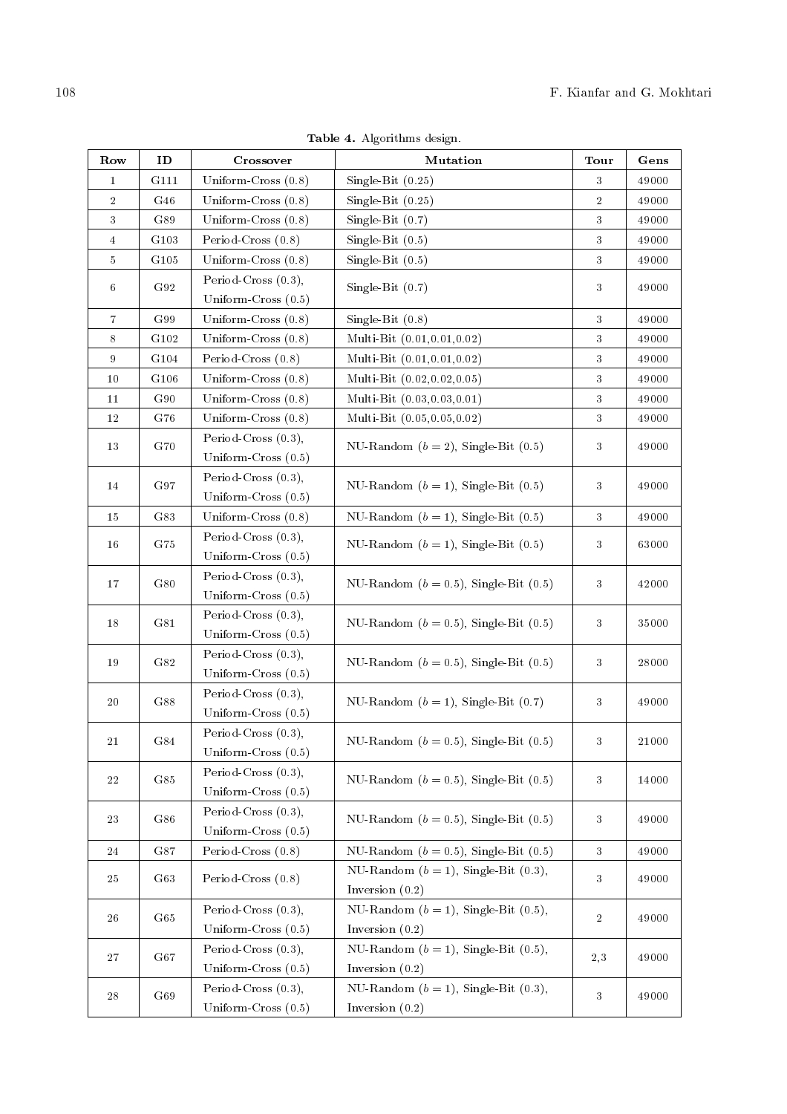| Row              | ID               | Crossover                                       | Mutation                                                        | Tour           | Gens  |
|------------------|------------------|-------------------------------------------------|-----------------------------------------------------------------|----------------|-------|
| $\bf{1}$         | G111             | Uniform-Cross $(0.8)$                           | Single-Bit $(0.25)$                                             | 3              | 49000 |
| $\overline{2}$   | G46              | Uniform-Cross $(0.8)$                           | Single-Bit $(0.25)$                                             | $\overline{2}$ | 49000 |
| $\sqrt{3}$       | G89              | Uniform-Cross $(0.8)$                           | Single-Bit $(0.7)$                                              | 3              | 49000 |
| $\sqrt{4}$       | G103             | Period-Cross $(0.8)$                            | Single-Bit $(0.5)$                                              | $\sqrt{3}$     | 49000 |
| $\bf 5$          | G <sub>105</sub> | Uniform-Cross $(0.8)$                           | Single-Bit $(0.5)$                                              | $\sqrt{3}$     | 49000 |
| 6                | G92              | Period-Cross $(0.3)$ ,<br>Uniform-Cross (0.5)   | Single-Bit $(0.7)$                                              | 3              | 49000 |
| $\overline{7}$   | G99              | Uniform-Cross $(0.8)$                           | Single-Bit $(0.8)$                                              | $\sqrt{3}$     | 49000 |
| $\,8\,$          | G102             | Uniform-Cross $(0.8)$                           | Multi-Bit (0.01,0.01,0.02)                                      | $\sqrt{3}$     | 49000 |
| $\boldsymbol{9}$ | G104             | Period-Cross (0.8)                              | Multi-Bit (0.01,0.01,0.02)                                      | $\sqrt{3}$     | 49000 |
| 10               | G106             | Uniform-Cross $(0.8)$                           | Multi-Bit (0.02,0.02,0.05)                                      | $\sqrt{3}$     | 49000 |
| 11               | G90              | Uniform-Cross $(0.8)$                           | Multi-Bit (0.03,0.03,0.01)                                      | $\sqrt{3}$     | 49000 |
| $12\,$           | G76              | Uniform-Cross $(0.8)$                           | Multi-Bit (0.05,0.05,0.02)                                      | $\sqrt{3}$     | 49000 |
| 13               | G70              | Period-Cross $(0.3)$ ,<br>Uniform-Cross $(0.5)$ | NU-Random $(b = 2)$ , Single-Bit $(0.5)$                        | $\sqrt{3}$     | 49000 |
| 14               | G97              | Period-Cross $(0.3)$ ,<br>Uniform-Cross $(0.5)$ | NU-Random $(b = 1)$ , Single-Bit $(0.5)$                        | 3              | 49000 |
| 15               | G83              | Uniform-Cross $(0.8)$                           | NU-Random $(b = 1)$ , Single-Bit $(0.5)$                        | $\sqrt{3}$     | 49000 |
| $16\,$           | G75              | Period-Cross $(0.3)$ ,<br>Uniform-Cross (0.5)   | NU-Random $(b = 1)$ , Single-Bit $(0.5)$                        | 3              | 63000 |
| 17               | G80              | Period-Cross $(0.3)$ ,<br>Uniform-Cross $(0.5)$ | NU-Random ( $b = 0.5$ ), Single-Bit (0.5)                       | 3              | 42000 |
| 18               | G81              | Period-Cross $(0.3)$ ,<br>Uniform-Cross $(0.5)$ | NU-Random ( $b = 0.5$ ), Single-Bit (0.5)                       | 3              | 35000 |
| 19               | G82              | Period-Cross $(0.3)$ ,<br>Uniform-Cross $(0.5)$ | NU-Random $(b = 0.5)$ , Single-Bit $(0.5)$                      | 3              | 28000 |
| $20\,$           | G88              | Period-Cross $(0.3)$ ,<br>Uniform-Cross $(0.5)$ | NU-Random $(b = 1)$ , Single-Bit $(0.7)$                        | $\sqrt{3}$     | 49000 |
| 21               | G84              | Period-Cross $(0.3)$ ,<br>Uniform-Cross $(0.5)$ | NU-Random ( $b = 0.5$ ), Single-Bit (0.5)                       | 3              | 21000 |
| $\sqrt{22}$      | G85              | Period-Cross $(0.3)$ ,<br>Uniform-Cross $(0.5)$ | NU-Random ( $b = 0.5$ ), Single-Bit (0.5)                       | $\sqrt{3}$     | 14000 |
| 23               | G86              | Period-Cross $(0.3)$ ,<br>Uniform-Cross (0.5)   | NU-Random $(b = 0.5)$ , Single-Bit $(0.5)$                      | $\sqrt{3}$     | 49000 |
| 24               | G87              | Period-Cross $(0.8)$                            | NU-Random ( $b = 0.5$ ), Single-Bit (0.5)                       | $\sqrt{3}$     | 49000 |
| 25               | G63              | Period-Cross (0.8)                              | NU-Random $(b = 1)$ , Single-Bit $(0.3)$ ,<br>Inversion $(0.2)$ | 3              | 49000 |
| 26               | G65              | Period-Cross $(0.3)$ ,<br>Uniform-Cross $(0.5)$ | NU-Random $(b = 1)$ , Single-Bit $(0.5)$ ,<br>Inversion $(0.2)$ | $\,2$          | 49000 |
| 27               | G67              | Period-Cross (0.3),<br>Uniform-Cross $(0.5)$    | NU-Random $(b = 1)$ , Single-Bit $(0.5)$ ,<br>Inversion $(0.2)$ | 2,3            | 49000 |
| $\bf 28$         | G69              | Period-Cross (0.3),<br>Uniform-Cross $(0.5)$    | NU-Random $(b = 1)$ , Single-Bit $(0.3)$ ,<br>Inversion $(0.2)$ | $\sqrt{3}$     | 49000 |

Table 4. Algorithms design.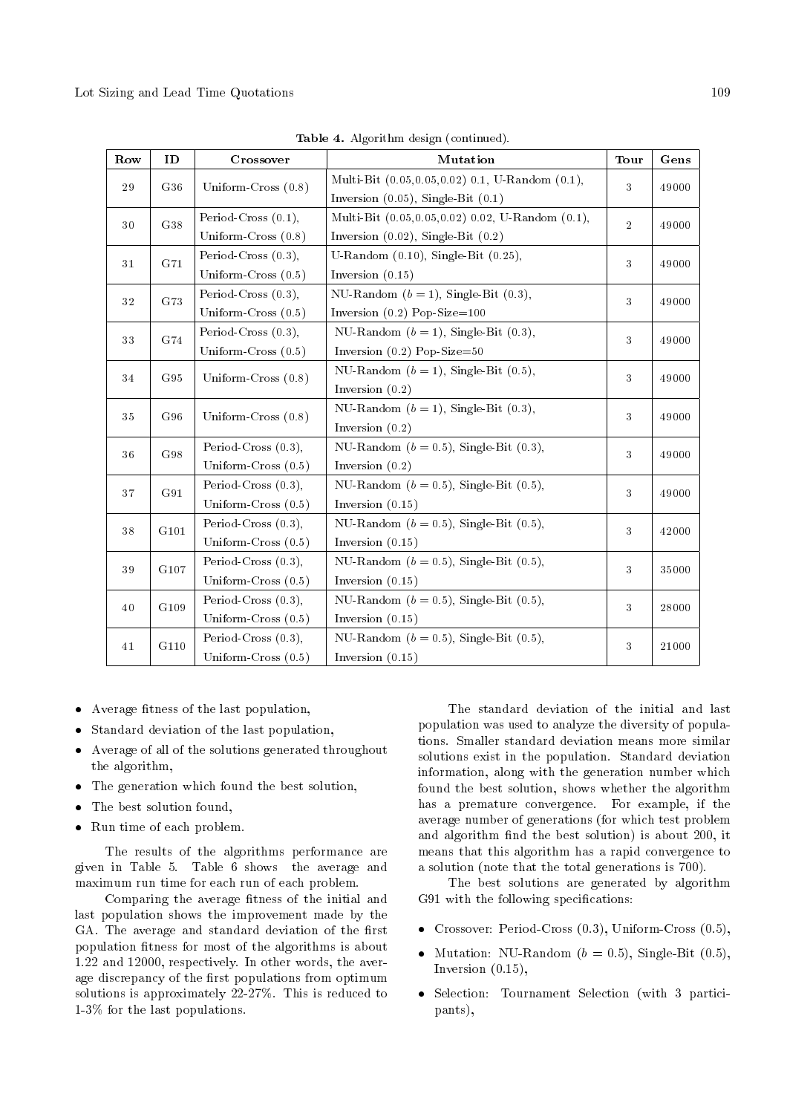| Row | ID   | Crossover                                       | Mutation                                                                                    | <b>Tour</b>    | Gens  |
|-----|------|-------------------------------------------------|---------------------------------------------------------------------------------------------|----------------|-------|
| 29  | G36  | Uniform-Cross (0.8)                             | Multi-Bit (0.05,0.05,0.02) 0.1, U-Random (0.1),<br>Inversion $(0.05)$ , Single-Bit $(0.1)$  |                | 49000 |
| 30  | G38  | Period-Cross $(0.1)$ ,<br>Uniform-Cross $(0.8)$ | Multi-Bit (0.05,0.05,0.02) 0.02, U-Random (0.1),<br>Inversion $(0.02)$ , Single-Bit $(0.2)$ | $\overline{2}$ | 49000 |
| 31  | G71  | Period-Cross $(0.3)$ ,<br>Uniform-Cross $(0.5)$ | U-Random $(0.10)$ , Single-Bit $(0.25)$ ,<br>Inversion $(0.15)$                             | 3              | 49000 |
| 32  | G73  | Period-Cross $(0.3)$ ,<br>Uniform-Cross $(0.5)$ | NU-Random $(b = 1)$ , Single-Bit $(0.3)$ ,<br>Inversion $(0.2)$ Pop-Size=100                | 3              | 49000 |
| 33  | G74  | Period-Cross $(0.3)$ ,<br>Uniform-Cross $(0.5)$ | NU-Random $(b = 1)$ , Single-Bit $(0.3)$ ,<br>Inversion $(0.2)$ Pop-Size=50                 | 3              | 49000 |
| 34  | G95  | Uniform-Cross $(0.8)$                           | NU-Random $(b = 1)$ , Single-Bit $(0.5)$ ,<br>Inversion $(0.2)$                             | 3              | 49000 |
| 35  | G96  | Uniform-Cross (0.8)                             | NU-Random $(b = 1)$ , Single-Bit $(0.3)$ ,<br>Inversion $(0.2)$                             | 3              | 49000 |
| 36  | G98  | Period-Cross $(0.3)$ ,<br>Uniform-Cross $(0.5)$ | NU-Random $(b = 0.5)$ , Single-Bit $(0.3)$ ,<br>Inversion $(0.2)$                           | 3              | 49000 |
| 37  | G91  | Period-Cross $(0.3)$ ,<br>Uniform-Cross $(0.5)$ | NU-Random ( $b = 0.5$ ), Single-Bit (0.5),<br>Inversion $(0.15)$                            | 3              | 49000 |
| 38  | G101 | Period-Cross $(0.3)$ ,<br>Uniform-Cross $(0.5)$ | NU-Random ( $b = 0.5$ ), Single-Bit (0.5),<br>Inversion $(0.15)$                            | 3              | 42000 |
| 39  | G107 | Period-Cross $(0.3)$ ,<br>Uniform-Cross $(0.5)$ | NU-Random ( $b = 0.5$ ), Single-Bit (0.5),<br>Inversion $(0.15)$                            | 3              | 35000 |
| 40  | G109 | Period-Cross $(0.3)$ ,<br>Uniform-Cross $(0.5)$ | NU-Random $(b = 0.5)$ , Single-Bit $(0.5)$ ,<br>Inversion $(0.15)$                          | 3              | 28000 |
| 41  | G110 | Period-Cross $(0.3)$ ,<br>Uniform-Cross $(0.5)$ | NU-Random $(b = 0.5)$ , Single-Bit $(0.5)$ ,<br>Inversion $(0.15)$                          | 3              | 21000 |

Table 4. Algorithm design (continued).

- Average fitness of the last population,
- Standard deviation of the last population,
- Average of all of the solutions generated throughout the algorithm,
- The generation which found the best solution,
- The best solution found,
- Run time of each problem.

The results of the algorithms performance are given in Table 5. Table 6 shows the average and maximum run time for each run of each problem.

Comparing the average fitness of the initial and last population shows the improvement made by the GA. The average and standard deviation of the first population fitness for most of the algorithms is about 1.22 and 12000, respectively. In other words, the average discrepancy of the first populations from optimum solutions is approximately 22-27%. This is reduced to 1-3% for the last populations.

The standard deviation of the initial and last population was used to analyze the diversity of populations. Smaller standard deviation means more similar solutions exist in the population. Standard deviation information, along with the generation number which found the best solution, shows whether the algorithm has a premature convergence. For example, if the average number of generations (for which test problem and algorithm find the best solution) is about 200, it means that this algorithm has a rapid convergence to a solution (note that the total generations is 700).

The best solutions are generated by algorithm G91 with the following specifications:

- Crossover: Period-Cross (0.3), Uniform-Cross (0.5),
- Mutation: NU-Random  $(b = 0.5)$ , Single-Bit  $(0.5)$ , Inversion (0.15),
- Selection: Tournament Selection (with 3 participants),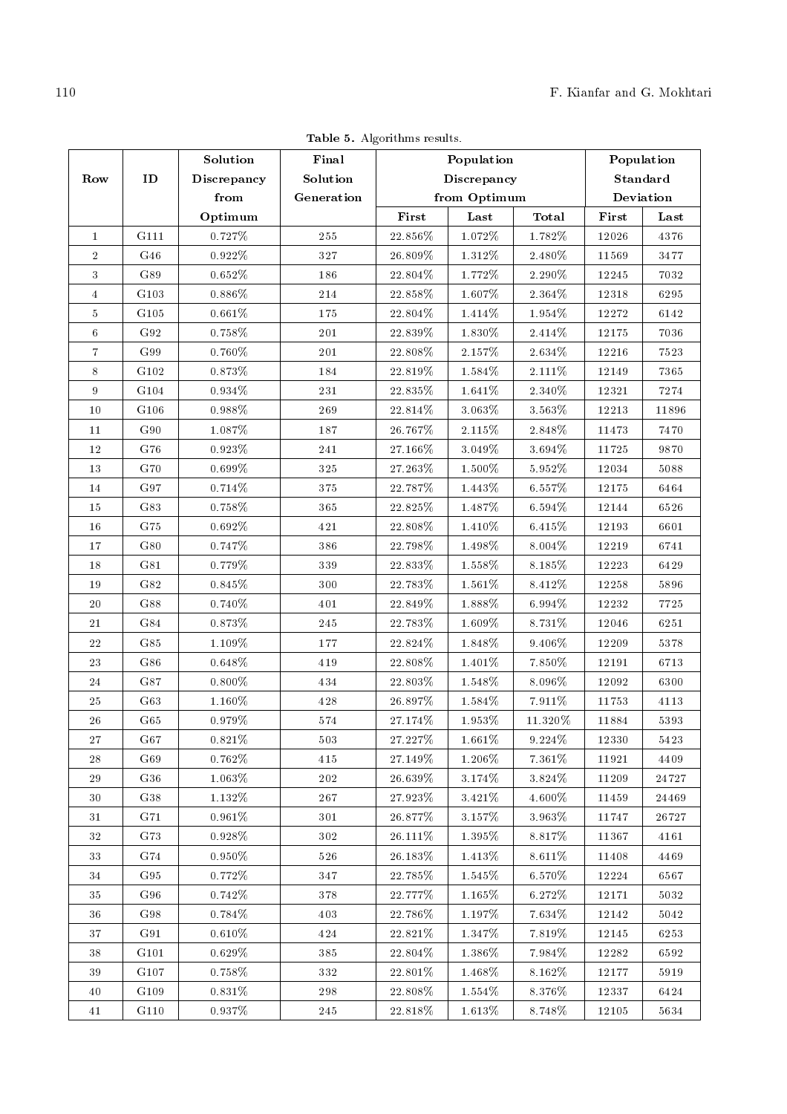|                  | Table 5. Algorithms results. |             |                                     |            |              |            |            |           |
|------------------|------------------------------|-------------|-------------------------------------|------------|--------------|------------|------------|-----------|
|                  |                              | Solution    | Final                               | Population |              |            | Population |           |
| Row              | ID                           | Discrepancy | Solution<br>Discrepancy<br>Standard |            |              |            |            |           |
|                  |                              | from        | Generation                          |            | from Optimum |            |            | Deviation |
|                  |                              | Optimum     |                                     | First      | Last         | Total      | First      | Last      |
| $\mathbf{1}$     | G111                         | $0.727\%$   | 255                                 | $22.856\%$ | $1.072\%$    | 1.782%     | 12026      | 4376      |
| $\sqrt{2}$       | G46                          | $0.922\%$   | 327                                 | $26.809\%$ | $1.312\%$    | $2.480\%$  | 11569      | 3477      |
| $\sqrt{3}$       | G89                          | $0.652\%$   | 186                                 | $22.804\%$ | 1.772%       | 2.290%     | 12245      | 7032      |
| $\overline{4}$   | ${\rm G\,103}$               | $0.886\%$   | $214\,$                             | 22.858%    | $1.607\%$    | $2.364\%$  | 12318      | 6295      |
| $\bf 5$          | ${\rm G\,105}$               | $0.661\%$   | 175                                 | 22.804\%   | 1.414%       | $1.954\%$  | $12272\,$  | 6142      |
| $\,6\,$          | G92                          | $0.758\%$   | 201                                 | $22.839\%$ | $1.830\%$    | $2.414\%$  | 12175      | 7036      |
| $\overline{7}$   | G99                          | $0.760\%$   | 201                                 | $22.808\%$ | $2.157\%$    | $2.634\%$  | 12216      | 7523      |
| $8\,$            | ${\rm G\,102}$               | $0.873\%$   | 184                                 | $22.819\%$ | 1.584%       | $2.111\%$  | 12149      | 7365      |
| $\boldsymbol{9}$ | ${\rm G\,104}$               | $0.934\%$   | 231                                 | $22.835\%$ | $1.641\%$    | $2.340\%$  | 12321      | 7274      |
| 10               | G106                         | $0.988\%$   | 269                                 | $22.814\%$ | $3.063\%$    | $3.563\%$  | 12213      | 11896     |
| 11               | G90                          | $1.087\%$   | $187\,$                             | $26.767\%$ | 2.115%       | $2.848\%$  | 11473      | 7470      |
| 12               | ${\rm G\,76}$                | $0.923\%$   | $241\,$                             | $27.166\%$ | 3.049%       | $3.694\%$  | 11725      | 9870      |
| 13               | G70                          | $0.699\%$   | 325                                 | $27.263\%$ | $1.500\%$    | $5.952\%$  | 12034      | 5088      |
| 14               | G97                          | $0.714\%$   | 375                                 | 22.787%    | 1.443%       | $6.557\%$  | 12175      | 6464      |
| 15               | G83                          | $0.758\%$   | 365                                 | $22.825\%$ | 1.487%       | $6.594\%$  | 12144      | 6526      |
| 16               | ${\rm G\,75}$                | $0.692\%$   | 421                                 | 22.808%    | $1.410\%$    | $6.415\%$  | 12193      | 6601      |
| 17               | G80                          | $0.747\%$   | 386                                 | 22.798%    | $1.498\%$    | $8.004\%$  | 12219      | 6741      |
| 18               | ${\rm G\,81}$                | $0.779\%$   | 339                                 | $22.833\%$ | $1.558\%$    | $8.185\%$  | 12223      | $6429\,$  |
| 19               | ${\rm G}82$                  | $0.845\%$   | $300\,$                             | $22.783\%$ | $1.561\%$    | $8.412\%$  | $12258\,$  | 5896      |
| 20               | G88                          | $0.740\%$   | 401                                 | 22.849%    | $1.888\%$    | $6.994\%$  | $12232\,$  | 7725      |
| 21               | G84                          | $0.873\%$   | 245                                 | $22.783\%$ | 1.609%       | $8.731\%$  | 12046      | 6251      |
| 22               | G85                          | $1.109\%$   | 177                                 | 22.824\%   | 1.848%       | 9.406%     | 12209      | 5378      |
| 23               | G86                          | $0.648\%$   | 419                                 | $22.808\%$ | $1.401\%$    | 7.850%     | 12191      | 6713      |
| 24               | ${\rm G\,87}$                | $0.800\%$   | 434                                 | $22.803\%$ | $1.548\%$    | $8.096\%$  | 12092      | 6300      |
| 25               | G63                          | $1.160\%$   | 428                                 | 26.897%    | 1.584%       | $7.911\%$  | 11753      | $4113\,$  |
| $26\,$           | ${\rm G\,65}$                | $0.979\%$   | 574                                 | $27.174\%$ | $1.953\%$    | $11.320\%$ | 11884      | 5393      |
| 27               | G67                          | $0.821\%$   | 503                                 | $27.227\%$ | $1.661\%$    | $9.224\%$  | 12330      | 5423      |
| 28               | G69                          | $0.762\%$   | 415                                 | $27.149\%$ | $1.206\%$    | $7.361\%$  | $1\,1921$  | 4409      |
| 29               | G36                          | $1.063\%$   | $202\,$                             | $26.639\%$ | $3.174\%$    | $3.824\%$  | 11209      | 24727     |
|                  |                              |             |                                     |            |              |            |            |           |

Table 5. Algorithms results.

| 26 | G65  | $0.979\%$ | 574 | 27.174\%   | $1.953\%$ | 11.320\%  | 11884 | 5393  |
|----|------|-----------|-----|------------|-----------|-----------|-------|-------|
| 27 | G67  | 0.821\%   | 503 | 27.227%    | 1.661\%   | 9.224\%   | 12330 | 5423  |
| 28 | G69  | $0.762\%$ | 415 | $27.149\%$ | 1.206\%   | 7.361\%   | 11921 | 4409  |
| 29 | G36  | $1.063\%$ | 202 | $26.639\%$ | 3.174%    | 3.824\%   | 11209 | 24727 |
| 30 | G38  | $1.132\%$ | 267 | $27.923\%$ | 3.421\%   | $4.600\%$ | 11459 | 24469 |
| 31 | G71  | $0.961\%$ | 301 | $26.877\%$ | 3.157\%   | 3.963%    | 11747 | 26727 |
| 32 | G73  | 0.928\%   | 302 | $26.111\%$ | $1.395\%$ | 8.817\%   | 11367 | 4161  |
| 33 | G74  | $0.950\%$ | 526 | $26.183\%$ | $1.413\%$ | 8.611\%   | 11408 | 4469  |
| 34 | G95  | $0.772\%$ | 347 | $22.785\%$ | $1.545\%$ | 6.570\%   | 12224 | 6567  |
| 35 | G96  | $0.742\%$ | 378 | 22.777%    | $1.165\%$ | 6.272\%   | 12171 | 5032  |
| 36 | G98  | $0.784\%$ | 403 | $22.786\%$ | $1.197\%$ | 7.634%    | 12142 | 5042  |
| 37 | G91  | $0.610\%$ | 424 | $22.821\%$ | $1.347\%$ | 7.819%    | 12145 | 6253  |
| 38 | G101 | $0.629\%$ | 385 | $22.804\%$ | $1.386\%$ | 7.984%    | 12282 | 6592  |
| 39 | G107 | $0.758\%$ | 332 | $22.801\%$ | $1.468\%$ | $8.162\%$ | 12177 | 5919  |
| 40 | G109 | $0.831\%$ | 298 | 22.808\%   | $1.554\%$ | 8.376\%   | 12337 | 6424  |
| 41 | G110 | $0.937\%$ | 245 | $22.818\%$ | $1.613\%$ | 8.748%    | 12105 | 5634  |
|    |      |           |     |            |           |           |       |       |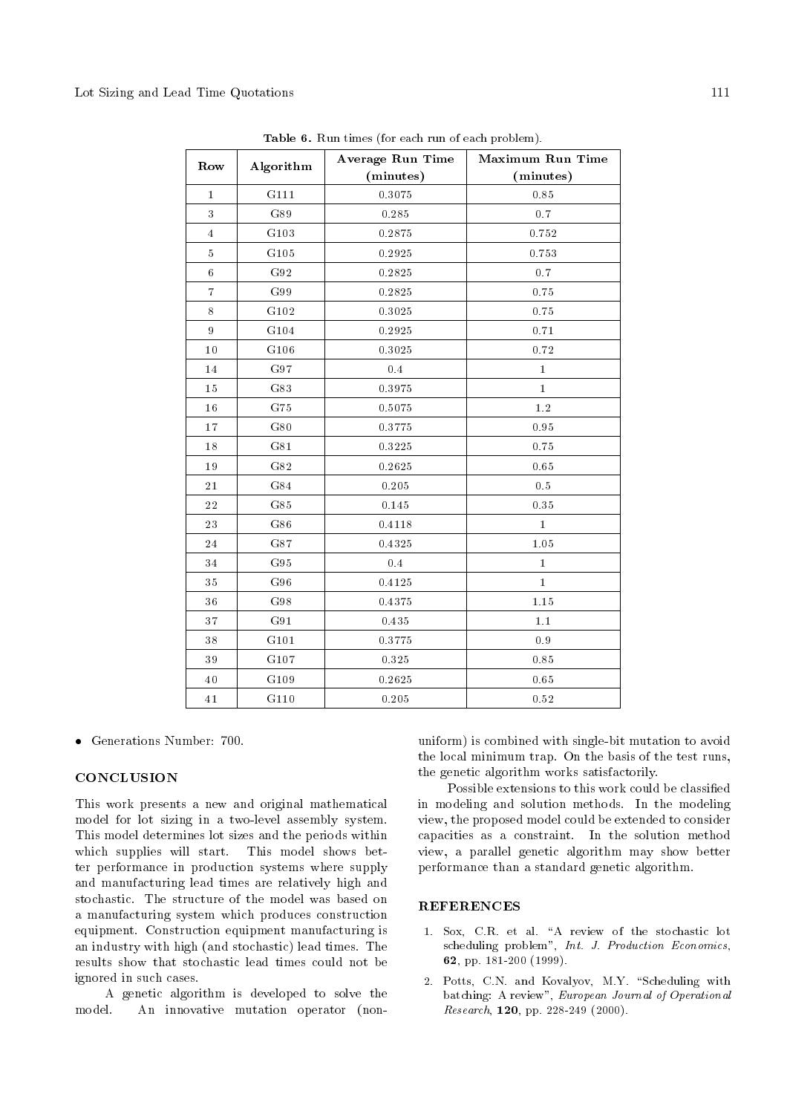|                | Algorithm           | <b>Average Run Time</b> | <b>Maximum Run Time</b> |
|----------------|---------------------|-------------------------|-------------------------|
| Row            |                     | (minutes)               | (minutes)               |
| $\bf{1}$       | G111                | 0.3075                  | 0.85                    |
| 3              | G89                 | 0.285                   | $0.7\,$                 |
| $\overline{4}$ | G103                | 0.2875                  | 0.752                   |
| $\bf 5$        | G105                | 0.2925                  | 0.753                   |
| $\,6\,$        | ${\rm G\,92}$       | 0.2825                  | $0.7\,$                 |
| $\overline{7}$ | ${\rm G} \, 99$     | 0.2825                  | 0.75                    |
| $8\,$          | G102                | 0.3025                  | 0.75                    |
| $\, 9$         | ${\rm G\,104}$      | 0.2925                  | 0.71                    |
| 10             | G106                | 0.3025                  | 0.72                    |
| 14             | ${\rm G\,97}$       | $\rm 0.4$               | $\mathbf{1}$            |
| 15             | G83                 | 0.3975                  | $\bf{1}$                |
| 16             | ${\rm G75}$         | 0.5075                  | $1.2\,$                 |
| 17             | G80                 | 0.3775                  | 0.95                    |
| 18             | G81                 | 0.3225                  | 0.75                    |
| $19\,$         | G82                 | 0.2625                  | 0.65                    |
| 21             | ${\rm G\,84}$       | 0.205                   | 0.5                     |
| $\bf{22}$      | ${\rm G\,85}$       | 0.145                   | 0.35                    |
| 23             | ${\rm G\,86}$       | 0.4118                  | $\bf{1}$                |
| 24             | ${\rm G\,87}$       | 0.4325                  | 1.05                    |
| 34             | ${\rm G\,95}$       | 0.4                     | $\mathbf{1}$            |
| 35             | ${\rm G} \, 96$     | 0.4125                  | $\bf{1}$                |
| 36             | G98                 | 0.4375                  | 1.15                    |
| 37             | ${\rm G} \, 9 \, 1$ | 0.435                   | 1.1                     |
| $38\,$         | G101                | 0.3775                  | $0.9\,$                 |
| 39             | G107                | 0.325                   | 0.85                    |
| $40\,$         | G109                | 0.2625                  | $0.65\,$                |
| $41\,$         | G110                | 0.205                   | 0.52                    |

Table 6. Run times (for each run of each problem).

Generations Number: 700.

## **CONCLUSION**

This work presents a new and original mathematical model for lot sizing in a two-level assembly system. This model determines lot sizes and the periods within which supplies will start. This model shows better performance in production systems where supply and manufacturing lead times are relatively high and stochastic. The structure of the model was based on a manufacturing system which produces construction equipment. Construction equipment manufacturing is an industry with high (and stochastic) lead times. The results show that stochastic lead times could not be ignored in such cases.

A genetic algorithm is developed to solve the model. An innovative mutation operator (nonuniform) is combined with single-bit mutation to avoid the local minimum trap. On the basis of the test runs, the genetic algorithm works satisfactorily.

Possible extensions to this work could be classied in modeling and solution methods. In the modeling view, the proposed model could be extended to consider capacities as a constraint. In the solution method view, a parallel genetic algorithm may show better performance than a standard genetic algorithm.

## **REFERENCES**

- 1. Sox, C.R. et al. "A review of the stochastic lot scheduling problem", Int. J. Production Economics, 62, pp. 181-200 (1999).
- 2. Potts, C.N. and Kovalyov, M.Y. "Scheduling with batching: A review", European Journal of Operational Research, 120, pp. 228-249 (2000).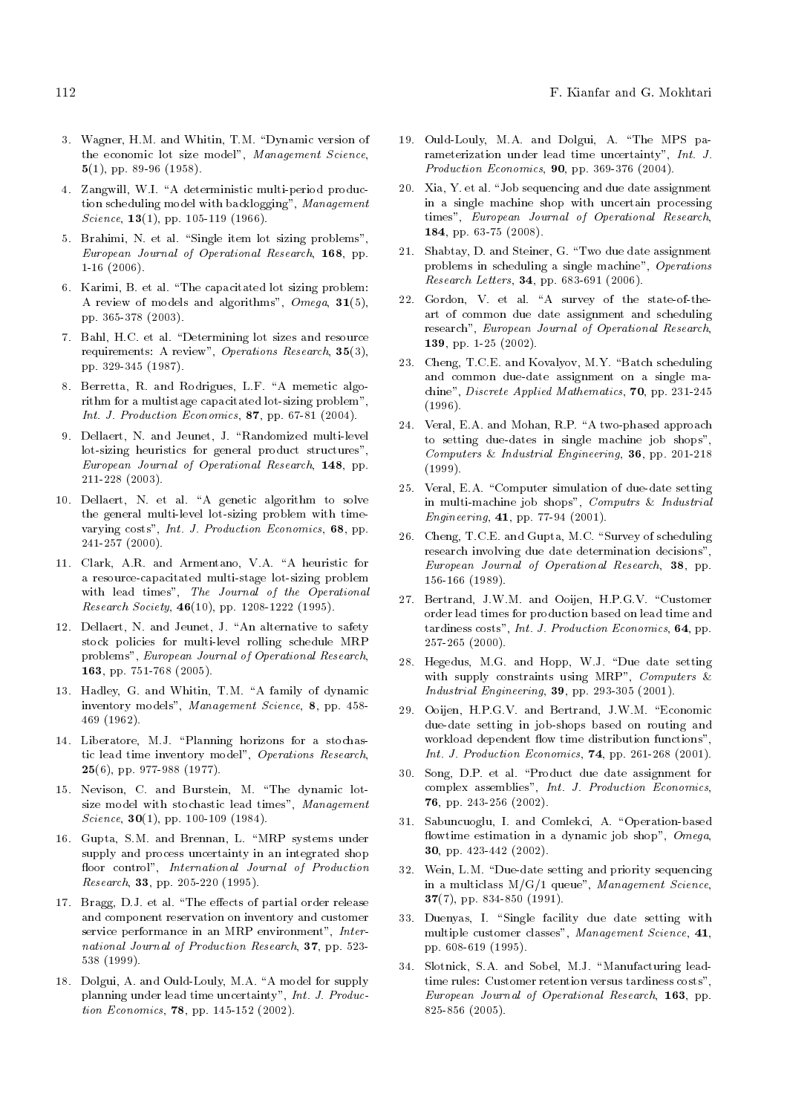- 3. Wagner, H.M. and Whitin, T.M. "Dynamic version of the economic lot size model", Management Science, 5(1), pp. 89-96 (1958).
- 4. Zangwill, W.I. "A deterministic multi-period production scheduling model with backlogging", Management Science,  $13(1)$ , pp. 105-119 (1966).
- 5. Brahimi, N. et al. "Single item lot sizing problems", European Journal of Operational Research, 168, pp. 1-16 (2006).
- 6. Karimi, B. et al. \The capacitated lot sizing problem: A review of models and algorithms",  $Omega$ ,  $31(5)$ , pp. 365-378 (2003).
- 7. Bahl, H.C. et al. "Determining lot sizes and resource requirements: A review", Operations Research, 35(3), pp. 329-345 (1987).
- 8. Berretta, R. and Rodrigues, L.F. "A memetic algorithm for a multistage capacitated lot-sizing problem", Int. J. Production Economics, 87, pp. 67-81 (2004).
- 9. Dellaert, N. and Jeunet, J. "Randomized multi-level lot-sizing heuristics for general product structures", European Journal of Operational Research, 148, pp. 211-228 (2003).
- 10. Dellaert, N. et al. "A genetic algorithm to solve the general multi-level lot-sizing problem with timevarying costs", Int. J. Production Economics, 68, pp. 241-257 (2000).
- 11. Clark, A.R. and Armentano, V.A. "A heuristic for a resource-capacitated multi-stage lot-sizing problem with lead times", The Journal of the Operational Research Society, 46(10), pp. 1208-1222 (1995).
- 12. Dellaert, N. and Jeunet, J. "An alternative to safety stock policies for multi-level rolling schedule MRP problems", European Journal of Operational Research, 163, pp. 751-768 (2005).
- 13. Hadley, G. and Whitin, T.M. "A family of dynamic inventory models", Management Science, 8, pp. 458- 469 (1962).
- 14. Liberatore, M.J. "Planning horizons for a stochastic lead time inventory model", Operations Research, 25(6), pp. 977-988 (1977).
- 15. Nevison, C. and Burstein, M. \The dynamic lotsize model with stochastic lead times", Management Science,  $30(1)$ , pp. 100-109 (1984).
- 16. Gupta, S.M. and Brennan, L. \MRP systems under supply and process uncertainty in an integrated shop floor control", International Journal of Production Research, 33, pp. 205-220 (1995).
- 17. Bragg, D.J. et al. "The effects of partial order release and component reservation on inventory and customer service performance in an MRP environment", International Journal of Production Research, 37, pp. 523- 538 (1999).
- 18. Dolgui, A. and Ould-Louly, M.A. "A model for supply planning under lead time uncertainty", Int. J. Production Economics, 78, pp. 145-152 (2002).
- 19. Ould-Louly, M.A. and Dolgui, A. \The MPS parameterization under lead time uncertainty", Int. J. Production Economics, 90, pp. 369-376 (2004).
- 20. Xia, Y. et al. "Job sequencing and due date assignment in a single machine shop with uncertain processing times", European Journal of Operational Research, 184, pp. 63-75 (2008).
- 21. Shabtay, D. and Steiner, G. \Two due date assignment problems in scheduling a single machine", Operations Research Letters, 34, pp. 683-691 (2006).
- 22. Gordon, V. et al. "A survey of the state-of-theart of common due date assignment and scheduling research", European Journal of Operational Research, 139, pp. 1-25 (2002).
- 23. Cheng, T.C.E. and Kovalyov, M.Y. "Batch scheduling and common due-date assignment on a single machine", Discrete Applied Mathematics, 70, pp. 231-245 (1996).
- 24. Veral, E.A. and Mohan, R.P. "A two-phased approach to setting due-dates in single machine job shops", Computers & Industrial Engineering, 36, pp. 201-218 (1999).
- 25. Veral, E.A. "Computer simulation of due-date setting in multi-machine job shops", Computrs & Industrial Engineering, 41, pp. 77-94 (2001).
- 26. Cheng, T.C.E. and Gupta, M.C. "Survey of scheduling research involving due date determination decisions", European Journal of Operational Research, 38, pp. 156-166 (1989).
- 27. Bertrand, J.W.M. and Ooijen, H.P.G.V. "Customer order lead times for production based on lead time and tardiness costs", Int. J. Production Economics, 64, pp. 257-265 (2000).
- 28. Hegedus, M.G. and Hopp, W.J. "Due date setting with supply constraints using MRP", Computers & Industrial Engineering, 39, pp. 293-305 (2001).
- 29. Ooijen, H.P.G.V. and Bertrand, J.W.M. "Economic due-date setting in job-shops based on routing and workload dependent flow time distribution functions", Int. J. Production Economics, 74, pp. 261-268 (2001).
- 30. Song, D.P. et al. \Product due date assignment for complex assemblies", Int. J. Production Economics, 76, pp. 243-256 (2002).
- 31. Sabuncuoglu, I. and Comlekci, A. "Operation-based flowtime estimation in a dynamic job shop",  $Omega$ , 30, pp. 423-442 (2002).
- 32. Wein, L.M. "Due-date setting and priority sequencing in a multiclass  $M/G/1$  queue", Management Science,  $37(7)$ , pp. 834-850 (1991).
- 33. Duenyas, I. "Single facility due date setting with multiple customer classes", Management Science, 41, pp. 608-619 (1995).
- 34. Slotnick, S.A. and Sobel, M.J. "Manufacturing leadtime rules: Customer retention versus tardiness costs", European Journal of Operational Research, 163, pp. 825-856 (2005).